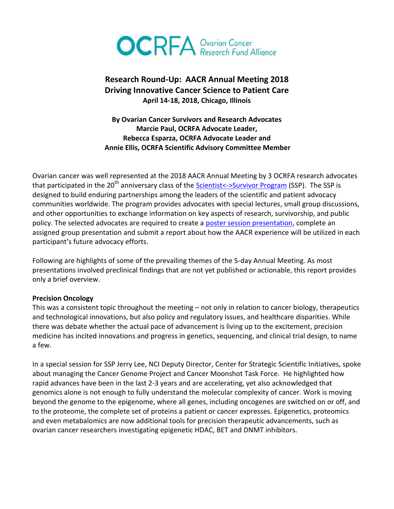

## **Research Round-Up: AACR Annual Meeting 2018 Driving Innovative Cancer Science to Patient Care April 14-18, 2018, Chicago, Illinois**

**By Ovarian Cancer Survivors and Research Advocates Marcie Paul, OCRFA Advocate Leader, Rebecca Esparza, OCRFA Advocate Leader and Annie Ellis, OCRFA Scientific Advisory Committee Member**

Ovarian cancer was well represented at the 2018 AACR Annual Meeting by 3 OCRFA research advocates that participated in the 20<sup>th</sup> anniversary class of the [Scientist<->Survivor Program](https://www.youtube.com/watch?v=cNLQyd6-qa0) (SSP). The SSP is designed to build enduring partnerships among the leaders of the scientific and patient advocacy communities worldwide. The program provides advocates with special lectures, small group discussions, and other opportunities to exchange information on key aspects of research, survivorship, and public policy. The selected advocates are required to create a [poster session presentation,](https://www.cancertodaymag.org/Pages/cancer-talk/The-Many-Faces-of-Patient-Advocacy.aspx) complete an assigned group presentation and submit a report about how the AACR experience will be utilized in each participant's future advocacy efforts.

Following are highlights of some of the prevailing themes of the 5-day Annual Meeting. As most presentations involved preclinical findings that are not yet published or actionable, this report provides only a brief overview.

## **Precision Oncology**

This was a consistent topic throughout the meeting – not only in relation to cancer biology, therapeutics and technological innovations, but also policy and regulatory issues, and healthcare disparities. While there was debate whether the actual pace of advancement is living up to the excitement, precision medicine has incited innovations and progress in genetics, sequencing, and clinical trial design, to name a few.

In a special session for SSP Jerry Lee, NCI Deputy Director, Center for Strategic Scientific Initiatives, spoke about managing the Cancer Genome Project and Cancer Moonshot Task Force. He highlighted how rapid advances have been in the last 2-3 years and are accelerating, yet also acknowledged that genomics alone is not enough to fully understand the molecular complexity of cancer. Work is moving beyond the genome to the epigenome, where all genes, including oncogenes are switched on or off, and to the proteome, the complete set of proteins a patient or cancer expresses. Epigenetics, proteomics and even metabalomics are now additional tools for precision therapeutic advancements, such as ovarian cancer researchers investigating epigenetic HDAC, BET and DNMT inhibitors.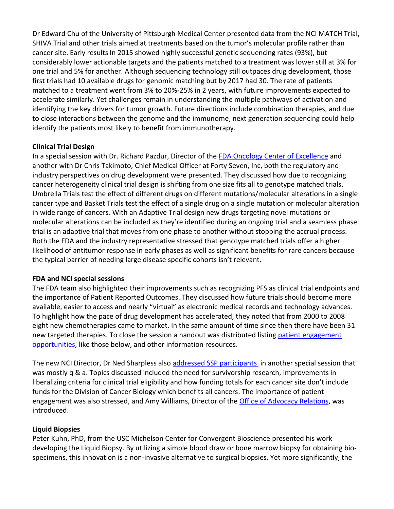Dr Edward Chu of the University of Pittsburgh Medical Center presented data from the NCI MATCH Trial, SHIVA Trial and other trials aimed at treatments based on the tumor's molecular profile rather than cancer site. Early results In 2015 showed highly successful genetic sequencing rates (93%), but considerably lower actionable targets and the patients matched to a treatment was lower still at 3% for one trial and 5% for another. Although sequencing technology still outpaces drug development, those first trials had 10 available drugs for genomic matching but by 2017 had 30. The rate of patients matched to a treatment went from 3% to 20%-25% in 2 years, with future improvements expected to accelerate similarly. Yet challenges remain in understanding the multiple pathways of activation and identifying the key drivers for tumor growth. Future directions include combination therapies, and due to close interactions between the genome and the immunome, next generation sequencing could help identify the patients most likely to benefit from immunotherapy.

## **Clinical Trial Design**

In a special session with Dr. Richard Pazdur, Director of the [FDA Oncology Center of Excellence](https://www.fda.gov/aboutfda/centersoffices/officeofmedicalproductsandtobacco/oce/default.htm) and another with Dr Chris Takimoto, Chief Medical Officer at Forty Seven, Inc, both the regulatory and industry perspectives on drug development were presented. They discussed how due to recognizing cancer heterogeneity clinical trial design is shifting from one size fits all to genotype matched trials. Umbrella Trials test the effect of different drugs on different mutations/molecular alterations in a single cancer type and Basket Trials test the effect of a single drug on a single mutation or molecular alteration in wide range of cancers. With an Adaptive Trial design new drugs targeting novel mutations or molecular alterations can be included as they're identified during an ongoing trial and a seamless phase trial is an adaptive trial that moves from one phase to another without stopping the accrual process. Both the FDA and the industry representative stressed that genotype matched trials offer a higher likelihood of antitumor response in early phases as well as significant benefits for rare cancers because the typical barrier of needing large disease specific cohorts isn't relevant.

## **FDA and NCI special sessions**

The FDA team also highlighted their improvements such as recognizing PFS as clinical trial endpoints and the importance of Patient Reported Outcomes. They discussed how future trials should become more available, easier to access and nearly "virtual" as electronic medical records and technology advances. To highlight how the pace of drug development has accelerated, they noted that from 2000 to 2008 eight new chemotherapies came to market. In the same amount of time since then there have been 31 new targeted therapies. To close the session a handout was distributed listing [patient engagement](https://www.fda.gov/ForPatients/PatientEngagement/default.htm)  [opportunities,](https://www.fda.gov/ForPatients/PatientEngagement/default.htm) like those below, and other information resources.

The new NCI Director, Dr Ned Sharpless also [addressed SSP participants](https://www.cancertodaymag.org/Pages/cancer-talk/Focusing-on-the-Fundamentals.aspx) in another special session that was mostly q & a. Topics discussed included the need for survivorship research, improvements in liberalizing criteria for clinical trial eligibility and how funding totals for each cancer site don't include funds for the Division of Cancer Biology which benefits all cancers. The importance of patient engagement was also stressed, and Amy Williams, Director of the **Office of Advocacy Relations**, was introduced.

## **Liquid Biopsies**

Peter Kuhn, PhD, from the USC Michelson Center for Convergent Bioscience presented his work developing the Liquid Biopsy. By utilizing a simple blood draw or bone marrow biopsy for obtaining biospecimens, this innovation is a non-invasive alternative to surgical biopsies. Yet more significantly, the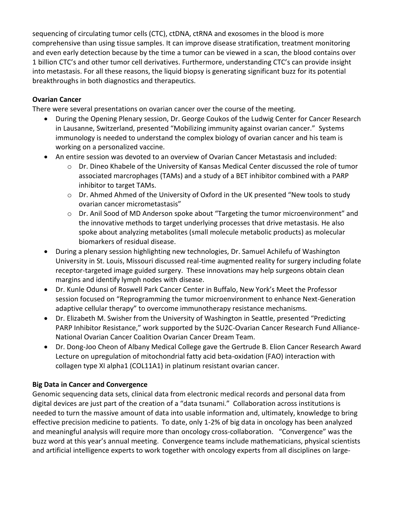sequencing of circulating tumor cells (CTC), ctDNA, ctRNA and exosomes in the blood is more comprehensive than using tissue samples. It can improve disease stratification, treatment monitoring and even early detection because by the time a tumor can be viewed in a scan, the blood contains over 1 billion CTC's and other tumor cell derivatives. Furthermore, understanding CTC's can provide insight into metastasis. For all these reasons, the liquid biopsy is generating significant buzz for its potential breakthroughs in both diagnostics and therapeutics.

## **Ovarian Cancer**

There were several presentations on ovarian cancer over the course of the meeting.

- During the Opening Plenary session, Dr. George Coukos of the Ludwig Center for Cancer Research in Lausanne, Switzerland, presented "Mobilizing immunity against ovarian cancer." Systems immunology is needed to understand the complex biology of ovarian cancer and his team is working on a personalized vaccine.
- An entire session was devoted to an overview of Ovarian Cancer Metastasis and included:
	- o Dr. Dineo Khabele of the University of Kansas Medical Center discussed the role of tumor associated marcrophages (TAMs) and a study of a BET inhibitor combined with a PARP inhibitor to target TAMs.
	- $\circ$  Dr. Ahmed Ahmed of the University of Oxford in the UK presented "New tools to study ovarian cancer micrometastasis"
	- o Dr. Anil Sood of MD Anderson spoke about "Targeting the tumor microenvironment" and the innovative methods to target underlying processes that drive metastasis. He also spoke about analyzing metabolites (small molecule metabolic products) as molecular biomarkers of residual disease.
- During a plenary session highlighting new technologies, Dr. Samuel Achilefu of Washington University in St. Louis, Missouri discussed real-time augmented reality for surgery including folate receptor-targeted image guided surgery. These innovations may help surgeons obtain clean margins and identify lymph nodes with disease.
- Dr. Kunle Odunsi of Roswell Park Cancer Center in Buffalo, New York's Meet the Professor session focused on "Reprogramming the tumor microenvironment to enhance Next-Generation adaptive cellular therapy" to overcome immunotherapy resistance mechanisms.
- Dr. Elizabeth M. Swisher from the University of Washington in Seattle, presented "Predicting PARP Inhibitor Resistance," work supported by the SU2C-Ovarian Cancer Research Fund Alliance-National Ovarian Cancer Coalition Ovarian Cancer Dream Team.
- Dr. Dong-Joo Cheon of Albany Medical College gave the Gertrude B. Elion Cancer Research Award Lecture on upregulation of mitochondrial fatty acid beta-oxidation (FAO) interaction with collagen type XI alpha1 (COL11A1) in platinum resistant ovarian cancer.

## **Big Data in Cancer and Convergence**

Genomic sequencing data sets, clinical data from electronic medical records and personal data from digital devices are just part of the creation of a "data tsunami." Collaboration across institutions is needed to turn the massive amount of data into usable information and, ultimately, knowledge to bring effective precision medicine to patients. To date, only 1-2% of big data in oncology has been analyzed and meaningful analysis will require more than oncology cross-collaboration. "Convergence" was the buzz word at this year's annual meeting. Convergence teams include mathematicians, physical scientists and artificial intelligence experts to work together with oncology experts from all disciplines on large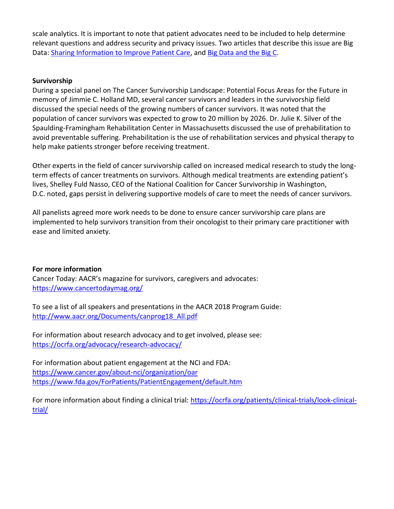scale analytics. It is important to note that patient advocates need to be included to help determine relevant questions and address security and privacy issues. Two articles that describe this issue are Big Data: Sharing Information [to Improve Patient Care,](https://www.cancertodaymag.org/Pages/Winter2015-2016/Big-Data-Sharing-Information-to-Improve-Care.aspx) an[d Big Data and the Big C.](https://www.gene.com/stories/big-data-and-the-big-c)

## **Survivorship**

During a special panel on [The Cancer Survivorship Landscape: Potential Focus Areas for the Future](https://www.cancertodaymag.org/Pages/cancer-talk/Supporting-Survivors.aspx) in memory of [Jimmie C. Holland MD,](http://www.ascopost.com/issues/january-25-2018/celebrating-the-life-of-jimmie-holland-md/) several cancer survivors and leaders in the survivorship field discussed the special needs of the growing numbers of cancer survivors. It was noted that the population of cancer survivors was expected to grow to 20 million by 2026. Dr. Julie K. Silver of the Spaulding-Framingham Rehabilitation Center in Massachusetts discussed the use of prehabilitation to avoid preventable suffering. Prehabilitation is the use of rehabilitation services and physical therapy to help make patients stronger before receiving treatment.

Other experts in the field of cancer survivorship called on increased medical research to study the longterm effects of cancer treatments on survivors. Although medical treatments are extending patient's lives, Shelley Fuld Nasso, CEO of the National Coalition for Cancer Survivorship in Washington, D.C. noted, gaps persist in delivering supportive models of care to meet the needs of cancer survivors.

All panelists agreed more work needs to be done to ensure cancer survivorship care plans are implemented to help survivors transition from their oncologist to their primary care practitioner with ease and limited anxiety.

## **For more information**

Cancer Today: AACR's magazine for survivors, caregivers and advocates: <https://www.cancertodaymag.org/>

To see a list of all speakers and presentations in the AACR 2018 Program Guide: [http://www.aacr.org/Documents/canprog18\\_All.pdf](http://www.aacr.org/Documents/canprog18_All.pdf)

For information about research advocacy and to get involved, please see: <https://ocrfa.org/advocacy/research-advocacy/>

For information about patient engagement at the NCI and FDA: <https://www.cancer.gov/about-nci/organization/oar> <https://www.fda.gov/ForPatients/PatientEngagement/default.htm>

For more information about finding a clinical trial: [https://ocrfa.org/patients/clinical-trials/look-clinical](https://ocrfa.org/patients/clinical-trials/look-clinical-trial/)[trial/](https://ocrfa.org/patients/clinical-trials/look-clinical-trial/)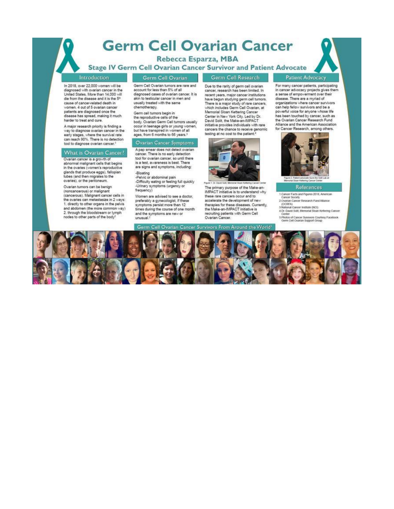## **Germ Cell Ovarian Cancer**

Rebecca Esparza, MBA

**Stage IV Germ Cell Ovarian Cancer Survivor and Patient Advocate** 

#### Introduction

In 2018, over 22,000 women will be diagnosed with ovarian cancer in the United States, More than 14,000 will die from the disease and it is the 5<sup>p</sup> cause of cancer-related death in<br>women. 4 out of 5 ovarian cancer patients are diagnosed once the disease has spread, making it much harder to treat and cure.

A major research priority is finding a way to diagnose ovarian cancer in the early stages, where the survival rate can reach 90%. There is no detection tool to diagnose ovarian cancer.<sup>1</sup>

#### What is Ovarian Cancer?

Ovarian cancer is a growth of abnormal malignant cells that begins in the ovaries (women's reproductive glands that produce eggs), fallopian tubes (and then migrates to the ovaries), or the peritoneum.

Ovarian tumors can be benign (noncancerous) or malignant<br>(cancerous). Malignant cancer cells in the ovaries can metastasize in 2 ways: 1. directly to other organs in the pelvis and abdomen (the more common way)<br>2. through the bloodstream or lymph nodes to other parts of the body

#### Germ Cell Ovarian

Germ Cell Ovarian tumors are rare and account for less than 5% of all diagnosed cases of ovarian cancer. It is akin to testicular cancer in men and usually treated with the same chemotherapy.

Germ cell tumors begin in the reproductive cells of the body. Ovarian Germ Cell tumors usually occur in teenage girls or young women,<br>but have transpired in women of all<br>ages, from 6 months to 66 years.<sup>3</sup>

### Ovarian Cancer Symptoms

A pap smear does not detect ovarian cancer. There is no early detection tool for ovarian cancer, so until there is a test, awareness is best. There are signs and symptoms, including: -Bloating

-Pelvic or abdominal pain -Difficulty eating or feeling full quickly -Urinary symptoms (urgency or frequency)

Women are advised to see a doctor, preferably a gynecologist, if these symptoms persist more than 12 times during the course of one month and the symptoms are new or unusual.<sup>2</sup>

Due to the rarity of germ cell ovarian cancer, research has been limited. In recent years, major cancer institutions have begun studying germ cell tumors.<br>There is a major study of rare cancers, which includes Germ Cell Ovarian, at Memorial Sloan Kettering Cancer Center in New York City, Led by Dr.<br>David Solit, the Make-an-IMPACT initiative provides individuals with rare cancers the chance to receive genomic testing at no cost to the patient.<sup>4</sup>

Germ Cell Research



The primary purpose of the Make-an-IMPACT initiative is to understand why these rare cancers occur and to accelerate the development of new therapies for these diseases. Currently,<br>the Make-an-IMPACT initiative is recruiting patients with Germ Cell Ovarian Cancer.

Germ Cell Ovarian Cancer Survivors From Around the World'

#### Patient Advocacy

For many cancer patients, participating in cancer advocacy projects gives them a sense of empowerment over their disease. There are a myriad of organizations where cancer survivors can help fellow survivors and be a powerful voice for anyone whose life has been touched by cancer, such as the Ovarian Cancer Research Fund Alliance and the American Association for Cancer Research, among others.



## **References**

1. Cancer Facts and Figures 2018. American

Cancer Society 2.Ovarian Cancer Research Fund Alliance

- (OCRFA)<br>3 National Cancer Institute (NCI)<br>4 Dr. David Solit, Memorial Sioan Kettering Cancer
- 

Center<br>5 Photos of Cancer Survivors Courtesy Facebook<br>Germ Cell Ovarian Support Group